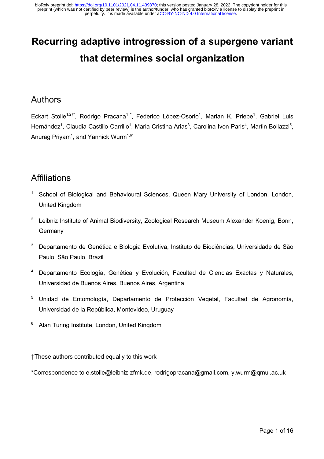# **Recurring adaptive introgression of a supergene variant that determines social organization**

#### Authors

Eckart Stolle<sup>1,2†\*</sup>, Rodrigo Pracana<sup>1†\*</sup>, Federico López-Osorio<sup>1</sup>, Marian K. Priebe<sup>1</sup>, Gabriel Luis Hernández<sup>1</sup>, Claudia Castillo-Carrillo<sup>1</sup>, Maria Cristina Arias<sup>3</sup>, Carolina Ivon Paris<sup>4</sup>, Martin Bollazzi<sup>5</sup>, Anurag Priyam $^1$ , and Yannick Wurm $^{1,6^\star}$ 

#### **Affiliations**

- <sup>1</sup> School of Biological and Behavioural Sciences, Queen Mary University of London, London, United Kingdom
- $2$  Leibniz Institute of Animal Biodiversity, Zoological Research Museum Alexander Koenig, Bonn, Germany
- <sup>3</sup> Departamento de Genética e Biologia Evolutiva, Instituto de Biociências, Universidade de São Paulo, São Paulo, Brazil
- <sup>4</sup> Departamento Ecología, Genética y Evolución, Facultad de Ciencias Exactas y Naturales, Universidad de Buenos Aires, Buenos Aires, Argentina
- <sup>5</sup> Unidad de Entomología, Departamento de Protección Vegetal, Facultad de Agronomía, Universidad de la República, Montevideo, Uruguay
- <sup>6</sup> Alan Turing Institute, London, United Kingdom

†These authors contributed equally to this work

\*Correspondence to e.stolle@leibniz-zfmk.de, rodrigopracana@gmail.com, y.wurm@qmul.ac.uk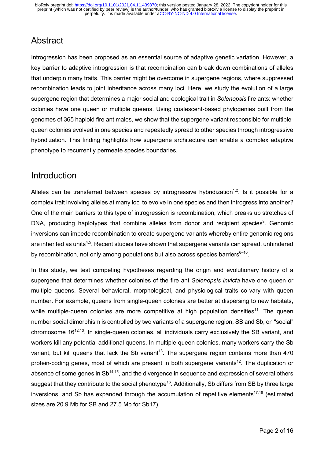# Abstract

Introgression has been proposed as an essential source of adaptive genetic variation. However, a key barrier to adaptive introgression is that recombination can break down combinations of alleles that underpin many traits. This barrier might be overcome in supergene regions, where suppressed recombination leads to joint inheritance across many loci. Here, we study the evolution of a large supergene region that determines a major social and ecological trait in *Solenopsis* fire ants: whether colonies have one queen or multiple queens. Using coalescent-based phylogenies built from the genomes of 365 haploid fire ant males, we show that the supergene variant responsible for multiplequeen colonies evolved in one species and repeatedly spread to other species through introgressive hybridization. This finding highlights how supergene architecture can enable a complex adaptive phenotype to recurrently permeate species boundaries.

#### Introduction

Alleles can be transferred between species by introgressive hybridization<sup>1,2</sup>. Is it possible for a complex trait involving alleles at many loci to evolve in one species and then introgress into another? One of the main barriers to this type of introgression is recombination, which breaks up stretches of DNA, producing haplotypes that combine alleles from donor and recipient species<sup>3</sup>. Genomic inversions can impede recombination to create supergene variants whereby entire genomic regions are inherited as units<sup>4,5</sup>. Recent studies have shown that supergene variants can spread, unhindered by recombination, not only among populations but also across species barriers $6-10$ .

In this study, we test competing hypotheses regarding the origin and evolutionary history of a supergene that determines whether colonies of the fire ant *Solenopsis invicta* have one queen or multiple queens. Several behavioral, morphological, and physiological traits co-vary with queen number. For example, queens from single-queen colonies are better at dispersing to new habitats, while multiple-queen colonies are more competitive at high population densities<sup>11</sup>. The queen number social dimorphism is controlled by two variants of a supergene region, SB and Sb, on "social" chromosome 1612,13. In single-queen colonies, all individuals carry exclusively the SB variant, and workers kill any potential additional queens. In multiple-queen colonies, many workers carry the Sb variant, but kill queens that lack the Sb variant<sup>13</sup>. The supergene region contains more than 470 protein-coding genes, most of which are present in both supergene variants<sup>12</sup>. The duplication or absence of some genes in  $\text{Sb}^{14,15}$ , and the divergence in sequence and expression of several others suggest that they contribute to the social phenotype<sup>16</sup>. Additionally, Sb differs from SB by three large inversions, and Sb has expanded through the accumulation of repetitive elements<sup>17,18</sup> (estimated sizes are 20.9 Mb for SB and 27.5 Mb for Sb17).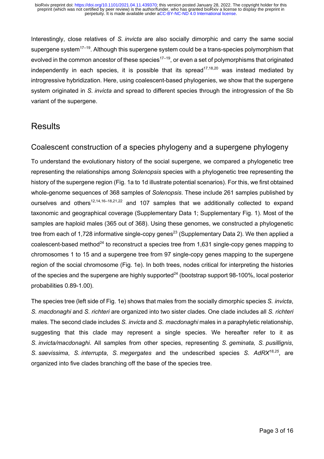Interestingly, close relatives of *S. invicta* are also socially dimorphic and carry the same social supergene system $17-19$ . Although this supergene system could be a trans-species polymorphism that evolved in the common ancestor of these species<sup>17–19</sup>, or even a set of polymorphisms that originated independently in each species, it is possible that its spread $17,18,20$  was instead mediated by introgressive hybridization. Here, using coalescent-based phylogenies, we show that the supergene system originated in *S. invicta* and spread to different species through the introgression of the Sb variant of the supergene.

#### **Results**

#### Coalescent construction of a species phylogeny and a supergene phylogeny

To understand the evolutionary history of the social supergene, we compared a phylogenetic tree representing the relationships among *Solenopsis* species with a phylogenetic tree representing the history of the supergene region (Fig. 1a to 1d illustrate potential scenarios). For this, we first obtained whole-genome sequences of 368 samples of *Solenopsis*. These include 261 samples published by ourselves and others<sup>12,14,16–18,21,22</sup> and 107 samples that we additionally collected to expand taxonomic and geographical coverage (Supplementary Data 1; Supplementary Fig. 1). Most of the samples are haploid males (365 out of 368). Using these genomes, we constructed a phylogenetic tree from each of 1,728 informative single-copy genes<sup>23</sup> (Supplementary Data 2). We then applied a coalescent-based method<sup>24</sup> to reconstruct a species tree from 1,631 single-copy genes mapping to chromosomes 1 to 15 and a supergene tree from 97 single-copy genes mapping to the supergene region of the social chromosome (Fig. 1e). In both trees, nodes critical for interpreting the histories of the species and the supergene are highly supported $^{24}$  (bootstrap support 98-100%, local posterior probabilities 0.89-1.00).

The species tree (left side of Fig. 1e) shows that males from the socially dimorphic species *S. invicta*, *S. macdonaghi* and *S. richteri* are organized into two sister clades. One clade includes all *S. richteri* males. The second clade includes *S. invicta* and *S. macdonaghi* males in a paraphyletic relationship, suggesting that this clade may represent a single species. We hereafter refer to it as *S. invicta/macdonaghi*. All samples from other species, representing *S. geminata, S. pusillignis*, *S. saevissima*, *S. interrupta*, *S. megergates* and the undescribed species *S*. *AdRX18,25*, are organized into five clades branching off the base of the species tree.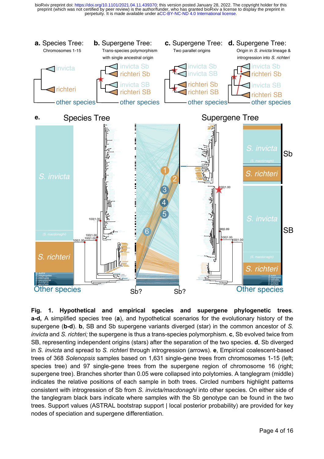

**Fig. 1. Hypothetical and empirical species and supergene phylogenetic trees**. **a-d,** A simplified species tree (**a**), and hypothetical scenarios for the evolutionary history of the supergene (**b-d**). **b**, SB and Sb supergene variants diverged (star) in the common ancestor of *S. invicta* and *S. richteri;* the supergene is thus a trans-species polymorphism. **c**, Sb evolved twice from SB, representing independent origins (stars) after the separation of the two species. **d**, Sb diverged in *S. invicta* and spread to *S. richteri* through introgression (arrows). **e**, Empirical coalescent-based trees of 368 *Solenopsis* samples based on 1,631 single-gene trees from chromosomes 1-15 (left; species tree) and 97 single-gene trees from the supergene region of chromosome 16 (right; supergene tree). Branches shorter than 0.05 were collapsed into polytomies. A tanglegram (middle) indicates the relative positions of each sample in both trees. Circled numbers highlight patterns consistent with introgression of Sb from *S. invicta/macdonaghi* into other species. On either side of the tanglegram black bars indicate where samples with the Sb genotype can be found in the two trees. Support values (ASTRAL bootstrap support | local posterior probability) are provided for key nodes of speciation and supergene differentiation.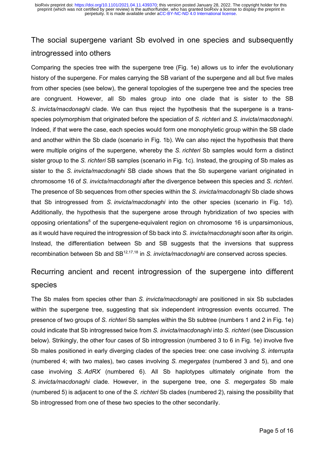## The social supergene variant Sb evolved in one species and subsequently introgressed into others

Comparing the species tree with the supergene tree (Fig. 1e) allows us to infer the evolutionary history of the supergene. For males carrying the SB variant of the supergene and all but five males from other species (see below), the general topologies of the supergene tree and the species tree are congruent. However, all Sb males group into one clade that is sister to the SB *S. invicta/macdonaghi* clade. We can thus reject the hypothesis that the supergene is a transspecies polymorphism that originated before the speciation of *S. richteri* and *S. invicta*/*macdonaghi*. Indeed, if that were the case, each species would form one monophyletic group within the SB clade and another within the Sb clade (scenario in Fig. 1b). We can also reject the hypothesis that there were multiple origins of the supergene, whereby the *S. richteri* Sb samples would form a distinct sister group to the *S. richteri* SB samples (scenario in Fig. 1c). Instead, the grouping of Sb males as sister to the *S. invicta/macdonaghi* SB clade shows that the Sb supergene variant originated in chromosome 16 of *S. invicta/macdonaghi* after the divergence between this species and *S. richteri*. The presence of Sb sequences from other species within the *S. invicta/macdonaghi* Sb clade shows that Sb introgressed from *S. invicta/macdonaghi* into the other species (scenario in Fig. 1d). Additionally, the hypothesis that the supergene arose through hybridization of two species with opposing orientations<sup>6</sup> of the supergene-equivalent region on chromosome 16 is unparsimonious, as it would have required the introgression of Sb back into *S. invicta/macdonaghi* soon after its origin. Instead, the differentiation between Sb and SB suggests that the inversions that suppress recombination between Sb and SB12,17,18 in *S. invicta/macdonaghi* are conserved across species.

### Recurring ancient and recent introgression of the supergene into different species

The Sb males from species other than *S. invicta/macdonaghi* are positioned in six Sb subclades within the supergene tree, suggesting that six independent introgression events occurred. The presence of two groups of *S. richteri* Sb samples within the Sb subtree (numbers 1 and 2 in Fig. 1e) could indicate that Sb introgressed twice from *S. invicta/macdonaghi* into *S. richteri* (see Discussion below). Strikingly, the other four cases of Sb introgression (numbered 3 to 6 in Fig. 1e) involve five Sb males positioned in early diverging clades of the species tree: one case involving *S. interrupta* (numbered 4; with two males), two cases involving *S. megergates* (numbered 3 and 5), and one case involving *S. AdRX* (numbered 6). All Sb haplotypes ultimately originate from the *S. invicta/macdonaghi* clade. However, in the supergene tree, one *S. megergates* Sb male (numbered 5) is adjacent to one of the *S. richteri* Sb clades (numbered 2), raising the possibility that Sb introgressed from one of these two species to the other secondarily.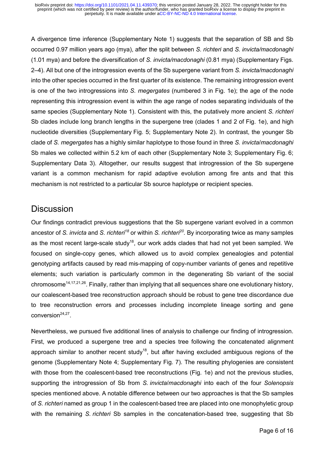A divergence time inference (Supplementary Note 1) suggests that the separation of SB and Sb occurred 0.97 million years ago (mya), after the split between *S. richteri* and *S. invicta/macdonaghi* (1.01 mya) and before the diversification of *S. invicta/macdonaghi* (0.81 mya) (Supplementary Figs. 2–4). All but one of the introgression events of the Sb supergene variant from *S. invicta/macdonaghi* into the other species occurred in the first quarter of its existence. The remaining introgression event is one of the two introgressions into *S. megergates* (numbered 3 in Fig. 1e); the age of the node representing this introgression event is within the age range of nodes separating individuals of the same species (Supplementary Note 1). Consistent with this, the putatively more ancient *S. richteri*  Sb clades include long branch lengths in the supergene tree (clades 1 and 2 of Fig. 1e), and high nucleotide diversities (Supplementary Fig. 5; Supplementary Note 2). In contrast, the younger Sb clade of *S. megergates* has a highly similar haplotype to those found in three *S. invicta*/*macdonaghi* Sb males we collected within 5.2 km of each other (Supplementary Note 3; Supplementary Fig. 6; Supplementary Data 3). Altogether, our results suggest that introgression of the Sb supergene variant is a common mechanism for rapid adaptive evolution among fire ants and that this mechanism is not restricted to a particular Sb source haplotype or recipient species.

#### **Discussion**

Our findings contradict previous suggestions that the Sb supergene variant evolved in a common ancestor of *S. invicta* and *S. richteri<sup>18</sup>* or within *S. richteri<sup>20</sup>.* By incorporating twice as many samples as the most recent large-scale study<sup>18</sup>, our work adds clades that had not yet been sampled. We focused on single-copy genes, which allowed us to avoid complex genealogies and potential genotyping artifacts caused by read mis-mapping of copy-number variants of genes and repetitive elements; such variation is particularly common in the degenerating Sb variant of the social chromosome<sup>14,17,21,26</sup>. Finally, rather than implying that all sequences share one evolutionary history, our coalescent-based tree reconstruction approach should be robust to gene tree discordance due to tree reconstruction errors and processes including incomplete lineage sorting and gene conversion<sup>24,27</sup>.

Nevertheless, we pursued five additional lines of analysis to challenge our finding of introgression. First, we produced a supergene tree and a species tree following the concatenated alignment approach similar to another recent study<sup>18</sup>, but after having excluded ambiguous regions of the genome (Supplementary Note 4; Supplementary Fig. 7). The resulting phylogenies are consistent with those from the coalescent-based tree reconstructions (Fig. 1e) and not the previous studies, supporting the introgression of Sb from *S. invicta*/*macdonaghi* into each of the four *Solenopsis* species mentioned above. A notable difference between our two approaches is that the Sb samples of *S. richteri* named as group 1 in the coalescent-based tree are placed into one monophyletic group with the remaining *S. richteri* Sb samples in the concatenation-based tree, suggesting that Sb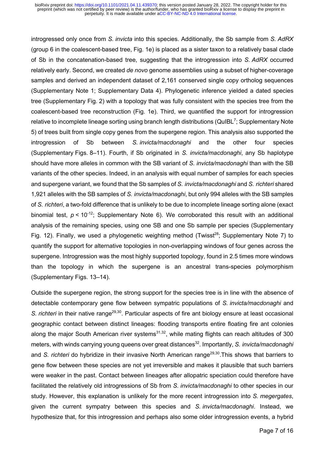introgressed only once from *S. invicta* into this species. Additionally, the Sb sample from *S. AdRX*  (group 6 in the coalescent-based tree, Fig. 1e) is placed as a sister taxon to a relatively basal clade of Sb in the concatenation-based tree, suggesting that the introgression into *S. AdRX* occurred relatively early. Second, we created *de novo* genome assemblies using a subset of higher-coverage samples and derived an independent dataset of 2,161 conserved single copy ortholog sequences (Supplementary Note 1; Supplementary Data 4). Phylogenetic inference yielded a dated species tree (Supplementary Fig. 2) with a topology that was fully consistent with the species tree from the coalescent-based tree reconstruction (Fig. 1e). Third, we quantified the support for introgression relative to incomplete lineage sorting using branch length distributions (QuIBL<sup>7</sup>; Supplementary Note 5) of trees built from single copy genes from the supergene region. This analysis also supported the introgression of Sb between *S. invicta/macdonaghi* and the other four species (Supplementary Figs. 8–11). Fourth, if Sb originated in *S. invicta/macdonaghi*, any Sb haplotype should have more alleles in common with the SB variant of *S. invicta/macdonaghi* than with the SB variants of the other species. Indeed, in an analysis with equal number of samples for each species and supergene variant, we found that the Sb samples of *S. invicta/macdonaghi* and *S. richteri* shared 1,921 alleles with the SB samples of *S. invicta/macdonaghi*, but only 994 alleles with the SB samples of *S. richteri*, a two-fold difference that is unlikely to be due to incomplete lineage sorting alone (exact binomial test,  $p < 10^{-12}$ ; Supplementary Note 6). We corroborated this result with an additional analysis of the remaining species, using one SB and one Sb sample per species (Supplementary Fig. 12). Finally, we used a phylogenetic weighting method (Twisst<sup>28</sup>; Supplementary Note 7) to quantify the support for alternative topologies in non-overlapping windows of four genes across the supergene. Introgression was the most highly supported topology, found in 2.5 times more windows than the topology in which the supergene is an ancestral trans-species polymorphism (Supplementary Figs. 13–14).

Outside the supergene region, the strong support for the species tree is in line with the absence of detectable contemporary gene flow between sympatric populations of *S. invicta/macdonaghi* and *S. richteri* in their native range<sup>29,30</sup>. Particular aspects of fire ant biology ensure at least occasional geographic contact between distinct lineages: flooding transports entire floating fire ant colonies along the major South American river systems $31,32$ , while mating flights can reach altitudes of 300 meters, with winds carrying young queens over great distances<sup>32</sup>. Importantly, *S. invicta/macdonaghi* and *S. richteri* do hybridize in their invasive North American range<sup>29,30</sup>. This shows that barriers to gene flow between these species are not yet irreversible and makes it plausible that such barriers were weaker in the past. Contact between lineages after allopatric speciation could therefore have facilitated the relatively old introgressions of Sb from *S. invicta/macdonaghi* to other species in our study. However, this explanation is unlikely for the more recent introgression into *S. megergates*, given the current sympatry between this species and *S. invicta/macdonaghi*. Instead, we hypothesize that, for this introgression and perhaps also some older introgression events, a hybrid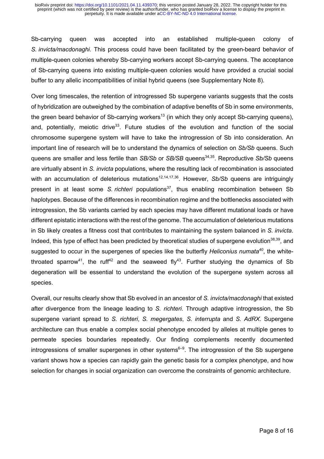Sb-carrying queen was accepted into an established multiple-queen colony of *S. invicta/macdonaghi.* This process could have been facilitated by the green-beard behavior of multiple-queen colonies whereby Sb-carrying workers accept Sb-carrying queens. The acceptance of Sb-carrying queens into existing multiple-queen colonies would have provided a crucial social buffer to any allelic incompatibilities of initial hybrid queens (see Supplementary Note 8).

Over long timescales, the retention of introgressed Sb supergene variants suggests that the costs of hybridization are outweighed by the combination of adaptive benefits of Sb in some environments, the green beard behavior of Sb-carrying workers<sup>13</sup> (in which they only accept Sb-carrying queens). and, potentially, meiotic drive<sup>33</sup>. Future studies of the evolution and function of the social chromosome supergene system will have to take the introgression of Sb into consideration. An important line of research will be to understand the dynamics of selection on *Sb/Sb* queens. Such queens are smaller and less fertile than *SB/Sb* or *SB/SB* queens<sup>34,35</sup>. Reproductive *Sb/Sb* queens are virtually absent in *S. invicta* populations, where the resulting lack of recombination is associated with an accumulation of deleterious mutations<sup>12,14,17,36</sup>. However, *Sb/Sb* queens are intriguingly present in at least some *S. richteri* populations<sup>37</sup>, thus enabling recombination between Sb haplotypes. Because of the differences in recombination regime and the bottlenecks associated with introgression, the Sb variants carried by each species may have different mutational loads or have different epistatic interactions with the rest of the genome. The accumulation of deleterious mutations in Sb likely creates a fitness cost that contributes to maintaining the system balanced in *S. invicta*. Indeed, this type of effect has been predicted by theoretical studies of supergene evolution $^{38,39}$ , and suggested to occur in the supergenes of species like the butterfly *Heliconius numata<sup>40</sup>*, the whitethroated sparrow<sup>41</sup>, the ruff<sup>42</sup> and the seaweed fly<sup>43</sup>. Further studying the dynamics of Sb degeneration will be essential to understand the evolution of the supergene system across all species.

Overall, our results clearly show that Sb evolved in an ancestor of *S. invicta/macdonaghi* that existed after divergence from the lineage leading to *S. richteri*. Through adaptive introgression, the Sb supergene variant spread to *S. richteri*, *S. megergates*, *S. interrupta* and *S. AdRX*. Supergene architecture can thus enable a complex social phenotype encoded by alleles at multiple genes to permeate species boundaries repeatedly. Our finding complements recently documented introgressions of smaller supergenes in other systems<sup>6–9</sup>. The introgression of the Sb supergene variant shows how a species can rapidly gain the genetic basis for a complex phenotype, and how selection for changes in social organization can overcome the constraints of genomic architecture.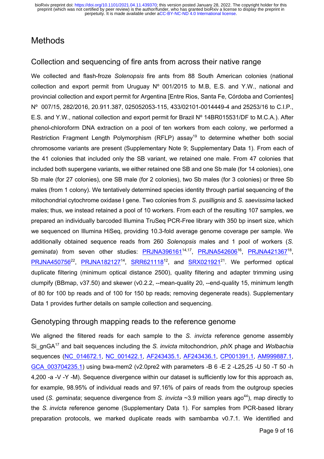### **Methods**

#### Collection and sequencing of fire ants from across their native range

We collected and flash-froze *Solenopsis* fire ants from 88 South American colonies (national collection and export permit from Uruguay Nº 001/2015 to M.B, E.S. and Y.W., national and provincial collection and export permit for Argentina [Entre Rios, Santa Fe, Córdoba and Corrientes] Nº 007/15, 282/2016, 20.911.387, 025052053-115, 433/02101-0014449-4 and 25253/16 to C.I.P., E.S. and Y.W., national collection and export permit for Brazil Nº 14BR015531/DF to M.C.A.). After phenol-chloroform DNA extraction on a pool of ten workers from each colony, we performed a Restriction Fragment Length Polymorphism (RFLP) assay<sup>19</sup> to determine whether both social chromosome variants are present (Supplementary Note 9; Supplementary Data 1). From each of the 41 colonies that included only the SB variant, we retained one male. From 47 colonies that included both supergene variants, we either retained one SB and one Sb male (for 14 colonies), one Sb male (for 27 colonies), one SB male (for 2 colonies), two Sb males (for 3 colonies) or three Sb males (from 1 colony). We tentatively determined species identity through partial sequencing of the mitochondrial cytochrome oxidase I gene. Two colonies from *S. pusillignis* and *S. saevissima* lacked males; thus, we instead retained a pool of 10 workers. From each of the resulting 107 samples, we prepared an individually barcoded Illumina TruSeq PCR-Free library with 350 bp insert size, which we sequenced on Illumina HiSeq, providing 10.3-fold average genome coverage per sample. We additionally obtained sequence reads from 260 *Solenopsis* males and 1 pool of workers (*S.*  geminata) from seven other studies: PRJNA396161<sup>14,17</sup>, PRJNA542606<sup>16</sup>, PRJNA421367<sup>18</sup>,  $PRJNA450756^{22}$ ,  $PRJNA182127^{14}$ ,  $SRR621118^{12}$ , and  $SRX021921^{21}$ . We performed optical duplicate filtering (minimum optical distance 2500), quality filtering and adapter trimming using clumpify (BBmap, v37.50) and skewer (v0.2.2, --mean-quality 20, --end-quality 15, minimum length of 80 for 100 bp reads and of 100 for 150 bp reads; removing degenerate reads). Supplementary Data 1 provides further details on sample collection and sequencing.

#### Genotyping through mapping reads to the reference genome

We aligned the filtered reads for each sample to the *S. invicta* reference genome assembly Si\_gnGA17 and bait sequences including the *S. invicta* mitochondrion, *phi*X phage and *Wolbachia*  sequences (NC\_014672.1, NC\_001422.1, AF243435.1, AF243436.1, CP001391.1, AM999887.1, GCA\_003704235.1) using bwa-mem2 (v2.0pre2 with parameters -B 6 -E 2 -L25,25 -U 50 -T 50 -h 4,200 -a -V -Y -M). Sequence divergence within our dataset is sufficiently low for this approach as, for example, 98.95% of individual reads and 97.16% of pairs of reads from the outgroup species used (*S. geminata*; sequence divergence from *S. invicta* ~3.9 million years ago<sup>44</sup>), map directly to the *S. invicta* reference genome (Supplementary Data 1). For samples from PCR-based library preparation protocols, we marked duplicate reads with sambamba v0.7.1. We identified and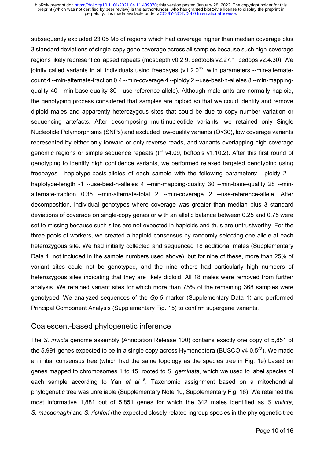subsequently excluded 23.05 Mb of regions which had coverage higher than median coverage plus 3 standard deviations of single-copy gene coverage across all samples because such high-coverage regions likely represent collapsed repeats (mosdepth v0.2.9, bedtools v2.27.1, bedops v2.4.30). We jointly called variants in all individuals using freebayes ( $v1.2.0<sup>45</sup>$ , with parameters --min-alternatecount 4 --min-alternate-fraction 0.4 --min-coverage 4 --ploidy 2 --use-best-n-alleles 8 --min-mappingquality 40 --min-base-quality 30 --use-reference-allele). Although male ants are normally haploid, the genotyping process considered that samples are diploid so that we could identify and remove diploid males and apparently heterozygous sites that could be due to copy number variation or sequencing artefacts. After decomposing multi-nucleotide variants, we retained only Single Nucleotide Polymorphisms (SNPs) and excluded low-quality variants (Q<30), low coverage variants represented by either only forward or only reverse reads, and variants overlapping high-coverage genomic regions or simple sequence repeats (trf v4.09, bcftools v1.10.2). After this first round of genotyping to identify high confidence variants, we performed relaxed targeted genotyping using freebayes --haplotype-basis-alleles of each sample with the following parameters: --ploidy 2 - haplotype-length -1 --use-best-n-alleles 4 --min-mapping-quality 30 --min-base-quality 28 --minalternate-fraction 0.35 --min-alternate-total 2 --min-coverage 2 --use-reference-allele. After decomposition, individual genotypes where coverage was greater than median plus 3 standard deviations of coverage on single-copy genes or with an allelic balance between 0.25 and 0.75 were set to missing because such sites are not expected in haploids and thus are untrustworthy. For the three pools of workers, we created a haploid consensus by randomly selecting one allele at each heterozygous site. We had initially collected and sequenced 18 additional males (Supplementary Data 1, not included in the sample numbers used above), but for nine of these, more than 25% of variant sites could not be genotyped, and the nine others had particularly high numbers of heterozygous sites indicating that they are likely diploid. All 18 males were removed from further analysis. We retained variant sites for which more than 75% of the remaining 368 samples were genotyped. We analyzed sequences of the *Gp-9* marker (Supplementary Data 1) and performed Principal Component Analysis (Supplementary Fig. 15) to confirm supergene variants.

#### Coalescent-based phylogenetic inference

The *S. invicta* genome assembly (Annotation Release 100) contains exactly one copy of 5,851 of the 5,991 genes expected to be in a single copy across Hymenoptera (BUSCO  $v$ 4.0.5<sup>23</sup>). We made an initial consensus tree (which had the same topology as the species tree in Fig. 1e) based on genes mapped to chromosomes 1 to 15, rooted to *S. geminata*, which we used to label species of each sample according to Yan et al.<sup>18</sup>. Taxonomic assignment based on a mitochondrial phylogenetic tree was unreliable (Supplementary Note 10, Supplementary Fig. 16). We retained the most informative 1,881 out of 5,851 genes for which the 342 males identified as *S. invicta, S. macdonaghi* and *S. richteri* (the expected closely related ingroup species in the phylogenetic tree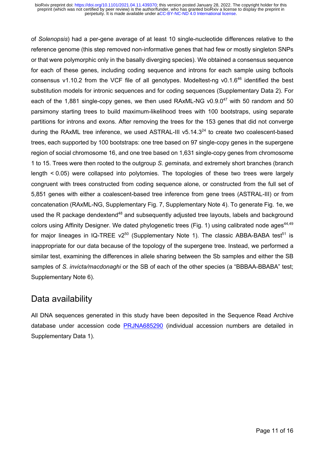of *Solenopsis*) had a per-gene average of at least 10 single-nucleotide differences relative to the reference genome (this step removed non-informative genes that had few or mostly singleton SNPs or that were polymorphic only in the basally diverging species). We obtained a consensus sequence for each of these genes, including coding sequence and introns for each sample using bcftools consensus v1.10.2 from the VCF file of all genotypes. Modeltest-ng v0.1. $6^{46}$  identified the best substitution models for intronic sequences and for coding sequences (Supplementary Data 2). For each of the 1,881 single-copy genes, we then used RAxML-NG  $v0.9.0^{47}$  with 50 random and 50 parsimony starting trees to build maximum-likelihood trees with 100 bootstraps, using separate partitions for introns and exons. After removing the trees for the 153 genes that did not converge during the RAxML tree inference, we used ASTRAL-III  $v5.14.3<sup>24</sup>$  to create two coalescent-based trees, each supported by 100 bootstraps: one tree based on 97 single-copy genes in the supergene region of social chromosome 16, and one tree based on 1,631 single-copy genes from chromosome 1 to 15. Trees were then rooted to the outgroup *S. geminata,* and extremely short branches (branch length < 0.05) were collapsed into polytomies. The topologies of these two trees were largely congruent with trees constructed from coding sequence alone, or constructed from the full set of 5,851 genes with either a coalescent-based tree inference from gene trees (ASTRAL-III) or from concatenation (RAxML-NG, Supplementary Fig. 7, Supplementary Note 4). To generate Fig. 1e, we used the R package dendextend<sup>48</sup> and subsequently adjusted tree layouts, labels and background colors using Affinity Designer. We dated phylogenetic trees (Fig. 1) using calibrated node ages  $44.49$ for major lineages in IQ-TREE  $v2^{50}$  (Supplementary Note 1). The classic ABBA-BABA test<sup>51</sup> is inappropriate for our data because of the topology of the supergene tree. Instead, we performed a similar test, examining the differences in allele sharing between the Sb samples and either the SB samples of *S. invicta/macdonaghi* or the SB of each of the other species (a "BBBAA-BBABA" test; Supplementary Note 6).

### Data availability

All DNA sequences generated in this study have been deposited in the Sequence Read Archive database under accession code PRJNA685290 (individual accession numbers are detailed in Supplementary Data 1).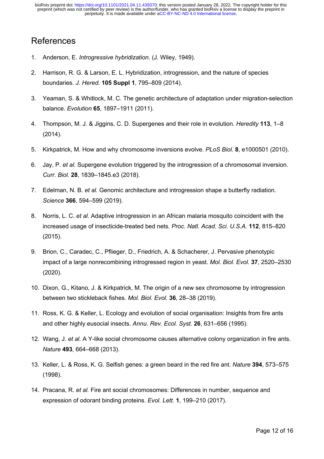#### **References**

- 1. Anderson, E. *Introgressive hybridization*. (J. Wiley, 1949).
- 2. Harrison, R. G. & Larson, E. L. Hybridization, introgression, and the nature of species boundaries. *J. Hered.* **105 Suppl 1**, 795–809 (2014).
- 3. Yeaman, S. & Whitlock, M. C. The genetic architecture of adaptation under migration-selection balance. *Evolution* **65**, 1897–1911 (2011).
- 4. Thompson, M. J. & Jiggins, C. D. Supergenes and their role in evolution. *Heredity* **113**, 1–8 (2014).
- 5. Kirkpatrick, M. How and why chromosome inversions evolve. *PLoS Biol.* **8**, e1000501 (2010).
- 6. Jay, P. *et al.* Supergene evolution triggered by the introgression of a chromosomal inversion. *Curr. Biol.* **28**, 1839–1845.e3 (2018).
- 7. Edelman, N. B. *et al.* Genomic architecture and introgression shape a butterfly radiation. *Science* **366**, 594–599 (2019).
- 8. Norris, L. C. *et al.* Adaptive introgression in an African malaria mosquito coincident with the increased usage of insecticide-treated bed nets. *Proc. Natl. Acad. Sci. U.S.A.* **112**, 815–820 (2015).
- 9. Brion, C., Caradec, C., Pflieger, D., Friedrich, A. & Schacherer, J. Pervasive phenotypic impact of a large nonrecombining introgressed region in yeast. *Mol. Biol. Evol.* **37**, 2520–2530 (2020).
- 10. Dixon, G., Kitano, J. & Kirkpatrick, M. The origin of a new sex chromosome by introgression between two stickleback fishes. *Mol. Biol. Evol.* **36**, 28–38 (2019).
- 11. Ross, K. G. & Keller, L. Ecology and evolution of social organisation: Insights from fire ants and other highly eusocial insects. *Annu. Rev. Ecol. Syst.* **26**, 631–656 (1995).
- 12. Wang, J. *et al.* A Y-like social chromosome causes alternative colony organization in fire ants. *Nature* **493**, 664–668 (2013).
- 13. Keller, L. & Ross, K. G. Selfish genes: a green beard in the red fire ant. *Nature* **394**, 573–575 (1998).
- 14. Pracana, R. *et al.* Fire ant social chromosomes: Differences in number, sequence and expression of odorant binding proteins. *Evol. Lett.* **1**, 199–210 (2017).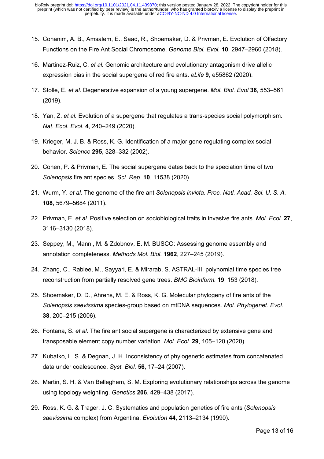- 15. Cohanim, A. B., Amsalem, E., Saad, R., Shoemaker, D. & Privman, E. Evolution of Olfactory Functions on the Fire Ant Social Chromosome. *Genome Biol. Evol.* **10**, 2947–2960 (2018).
- 16. Martinez-Ruiz, C. *et al.* Genomic architecture and evolutionary antagonism drive allelic expression bias in the social supergene of red fire ants. *eLife* **9**, e55862 (2020).
- 17. Stolle, E. *et al.* Degenerative expansion of a young supergene. *Mol. Biol. Evol* **36**, 553–561 (2019).
- 18. Yan, Z. *et al.* Evolution of a supergene that regulates a trans-species social polymorphism. *Nat. Ecol. Evol.* **4**, 240–249 (2020).
- 19. Krieger, M. J. B. & Ross, K. G. Identification of a major gene regulating complex social behavior. *Science* **295**, 328–332 (2002).
- 20. Cohen, P. & Privman, E. The social supergene dates back to the speciation time of two *Solenopsis* fire ant species. *Sci. Rep.* **10**, 11538 (2020).
- 21. Wurm, Y. *et al.* The genome of the fire ant *Solenopsis invicta*. *Proc. Natl. Acad. Sci. U. S. A.* **108**, 5679–5684 (2011).
- 22. Privman, E. *et al.* Positive selection on sociobiological traits in invasive fire ants. *Mol. Ecol.* **27**, 3116–3130 (2018).
- 23. Seppey, M., Manni, M. & Zdobnov, E. M. BUSCO: Assessing genome assembly and annotation completeness. *Methods Mol. Biol.* **1962**, 227–245 (2019).
- 24. Zhang, C., Rabiee, M., Sayyari, E. & Mirarab, S. ASTRAL-III: polynomial time species tree reconstruction from partially resolved gene trees. *BMC Bioinform.* **19**, 153 (2018).
- 25. Shoemaker, D. D., Ahrens, M. E. & Ross, K. G. Molecular phylogeny of fire ants of the *Solenopsis saevissima* species-group based on mtDNA sequences. *Mol. Phylogenet. Evol.* **38**, 200–215 (2006).
- 26. Fontana, S. *et al.* The fire ant social supergene is characterized by extensive gene and transposable element copy number variation. *Mol. Ecol.* **29**, 105–120 (2020).
- 27. Kubatko, L. S. & Degnan, J. H. Inconsistency of phylogenetic estimates from concatenated data under coalescence. *Syst. Biol.* **56**, 17–24 (2007).
- 28. Martin, S. H. & Van Belleghem, S. M. Exploring evolutionary relationships across the genome using topology weighting. *Genetics* **206**, 429–438 (2017).
- 29. Ross, K. G. & Trager, J. C. Systematics and population genetics of fire ants (*Solenopsis saevissima* complex) from Argentina. *Evolution* **44**, 2113–2134 (1990).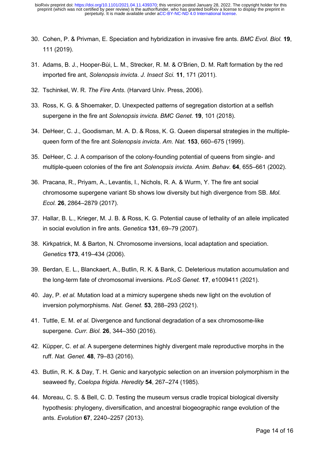- 30. Cohen, P. & Privman, E. Speciation and hybridization in invasive fire ants. *BMC Evol. Biol.* **19**, 111 (2019).
- 31. Adams, B. J., Hooper-Bùi, L. M., Strecker, R. M. & O'Brien, D. M. Raft formation by the red imported fire ant, *Solenopsis invicta*. *J. Insect Sci.* **11**, 171 (2011).
- 32. Tschinkel, W. R. *The Fire Ants*. (Harvard Univ. Press, 2006).
- 33. Ross, K. G. & Shoemaker, D. Unexpected patterns of segregation distortion at a selfish supergene in the fire ant *Solenopsis invicta*. *BMC Genet.* **19**, 101 (2018).
- 34. DeHeer, C. J., Goodisman, M. A. D. & Ross, K. G. Queen dispersal strategies in the multiplequeen form of the fire ant *Solenopsis invicta*. *Am. Nat.* **153**, 660–675 (1999).
- 35. DeHeer, C. J. A comparison of the colony-founding potential of queens from single- and multiple-queen colonies of the fire ant *Solenopsis invicta*. *Anim. Behav.* **64**, 655–661 (2002).
- 36. Pracana, R., Priyam, A., Levantis, I., Nichols, R. A. & Wurm, Y. The fire ant social chromosome supergene variant Sb shows low diversity but high divergence from SB. *Mol. Ecol.* **26**, 2864–2879 (2017).
- 37. Hallar, B. L., Krieger, M. J. B. & Ross, K. G. Potential cause of lethality of an allele implicated in social evolution in fire ants. *Genetica* **131**, 69–79 (2007).
- 38. Kirkpatrick, M. & Barton, N. Chromosome inversions, local adaptation and speciation. *Genetics* **173**, 419–434 (2006).
- 39. Berdan, E. L., Blanckaert, A., Butlin, R. K. & Bank, C. Deleterious mutation accumulation and the long-term fate of chromosomal inversions. *PLoS Genet.* **17**, e1009411 (2021).
- 40. Jay, P. *et al.* Mutation load at a mimicry supergene sheds new light on the evolution of inversion polymorphisms. *Nat. Genet.* **53**, 288–293 (2021).
- 41. Tuttle, E. M. *et al.* Divergence and functional degradation of a sex chromosome-like supergene. *Curr. Biol.* **26**, 344–350 (2016).
- 42. Küpper, C. *et al.* A supergene determines highly divergent male reproductive morphs in the ruff. *Nat. Genet.* **48**, 79–83 (2016).
- 43. Butlin, R. K. & Day, T. H. Genic and karyotypic selection on an inversion polymorphism in the seaweed fly, *Coelopa frigida*. *Heredity* **54**, 267–274 (1985).
- 44. Moreau, C. S. & Bell, C. D. Testing the museum versus cradle tropical biological diversity hypothesis: phylogeny, diversification, and ancestral biogeographic range evolution of the ants. *Evolution* **67**, 2240–2257 (2013).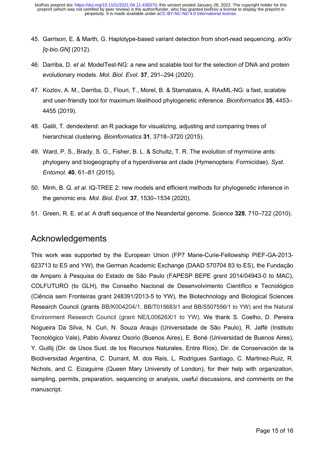- 45. Garrison, E. & Marth, G. Haplotype-based variant detection from short-read sequencing. *arXiv [q-bio.GN]* (2012).
- 46. Darriba, D. *et al.* ModelTest-NG: a new and scalable tool for the selection of DNA and protein evolutionary models. *Mol. Biol. Evol.* **37**, 291–294 (2020).
- 47. Kozlov, A. M., Darriba, D., Flouri, T., Morel, B. & Stamatakis, A. RAxML-NG: a fast, scalable and user-friendly tool for maximum likelihood phylogenetic inference. *Bioinformatics* **35**, 4453– 4455 (2019).
- 48. Galili, T. dendextend: an R package for visualizing, adjusting and comparing trees of hierarchical clustering. *Bioinformatics* **31**, 3718–3720 (2015).
- 49. Ward, P. S., Brady, S. G., Fisher, B. L. & Schultz, T. R. The evolution of myrmicine ants: phylogeny and biogeography of a hyperdiverse ant clade (Hymenoptera: Formicidae). *Syst. Entomol.* **40**, 61–81 (2015).
- 50. Minh, B. Q. *et al.* IQ-TREE 2: new models and efficient methods for phylogenetic inference in the genomic era. *Mol. Biol. Evol.* **37**, 1530–1534 (2020).
- 51. Green, R. E. *et al.* A draft sequence of the Neandertal genome. *Science* **328**, 710–722 (2010).

#### Acknowledgements

This work was supported by the European Union (FP7 Marie-Curie-Fellowship PIEF-GA-2013- 623713 to ES and YW), the German Academic Exchange (DAAD 570704 83 to ES), the Fundação de Amparo à Pesquisa do Estado de São Paulo (FAPESP BEPE grant 2014/04943-0 to MAC), COLFUTURO (to GLH), the Conselho Nacional de Desenvolvimento Científico e Tecnológico (Ciência sem Fronteiras grant 248391/2013-5 to YW), the Biotechnology and Biological Sciences Research Council (grants BB/K004204/1, BB/T015683/1 and BB/S507556/1 to YW) and the Natural Environment Research Council (grant NE/L00626X/1 to YW). We thank S. Coelho, D. Pereira Nogueira Da Silva, N. Curi, N. Souza Araujo (Universidade de São Paulo), R. Jaffé (Instituto Tecnológico Vale), Pablo Álvarez Osorio (Buenos Aires), E. Boné (Universidad de Buenos Aires), Y. Guillij (Dir. de Usos Sust. de los Recursos Naturales, Entre Ríos), Dir. de Conservación de la Biodiversidad Argentina, C. Durrant, M. dos Reis, L. Rodrigues Santiago, C. Martinez-Ruiz, R. Nichols, and C. Eizaguirre (Queen Mary University of London), for their help with organization, sampling, permits, preparation, sequencing or analysis, useful discussions, and comments on the manuscript.